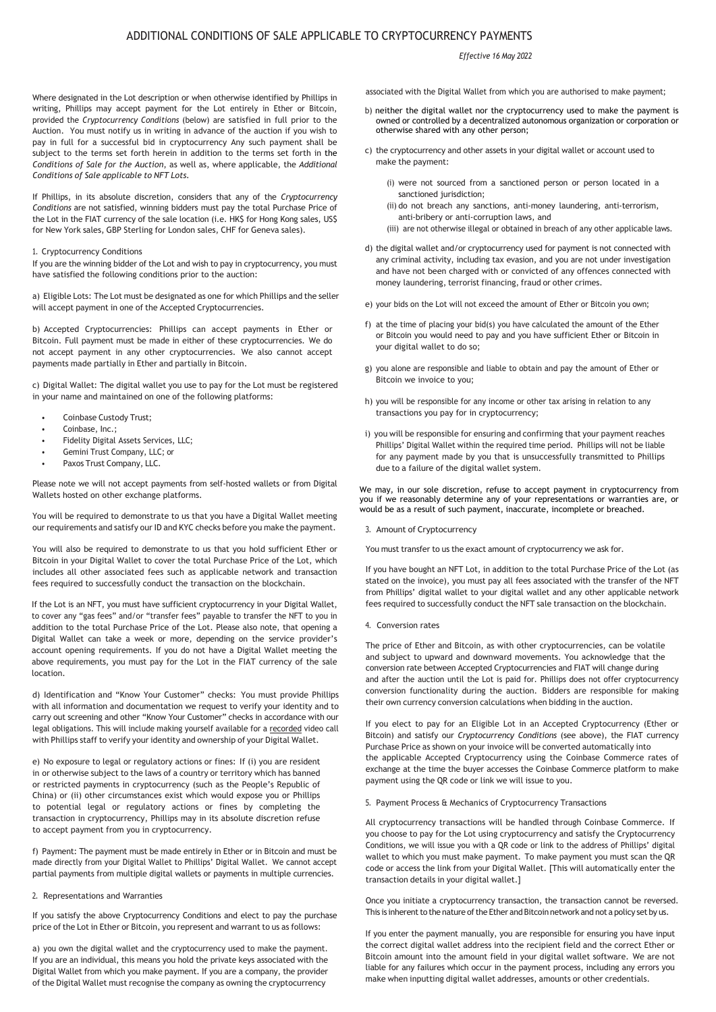# ADDITIONAL CONDITIONS OF SALE APPLICABLE TO CRYPTOCURRENCY PAYMENTS

# *Effective 16 May 2022*

Where designated in the Lot description or when otherwise identified by Phillips in writing, Phillips may accept payment for the Lot entirely in Ether or Bitcoin, provided the *Cryptocurrency Conditions* (below) are satisfied in full prior to the Auction. You must notify us in writing in advance of the auction if you wish to pay in full for a successful bid in cryptocurrency Any such payment shall be subject to the terms set forth herein in addition to the terms set forth in the *Conditions of Sale for the Auction*, as well as, where applicable, the *Additional Conditions of Sale applicable to NFT Lots.* 

If Phillips, in its absolute discretion, considers that any of the *Cryptocurrency Conditions* are not satisfied, winning bidders must pay the total Purchase Price of the Lot in the FIAT currency of the sale location (i.e. HK\$ for Hong Kong sales, US\$ for New York sales, GBP Sterling for London sales, CHF for Geneva sales).

## 1. Cryptocurrency Conditions

If you are the winning bidder of the Lot and wish to pay in cryptocurrency, you must have satisfied the following conditions prior to the auction:

a) Eligible Lots: The Lot must be designated as one for which Phillips and the seller will accept payment in one of the Accepted Cryptocurrencies.

b) Accepted Cryptocurrencies: Phillips can accept payments in Ether or Bitcoin. Full payment must be made in either of these cryptocurrencies. We do not accept payment in any other cryptocurrencies. We also cannot accept payments made partially in Ether and partially in Bitcoin.

c) Digital Wallet: The digital wallet you use to pay for the Lot must be registered in your name and maintained on one of the following platforms:

- Coinbase Custody Trust;
- Coinbase, Inc.;
- Fidelity Digital Assets Services, LLC;
- Gemini Trust Company, LLC; or
- Paxos Trust Company, LLC.

Please note we will not accept payments from self-hosted wallets or from Digital Wallets hosted on other exchange platforms.

You will be required to demonstrate to us that you have a Digital Wallet meeting our requirements and satisfy our ID and KYC checks before you make the payment.

You will also be required to demonstrate to us that you hold sufficient Ether or Bitcoin in your Digital Wallet to cover the total Purchase Price of the Lot, which includes all other associated fees such as applicable network and transaction fees required to successfully conduct the transaction on the blockchain.

If the Lot is an NFT, you must have sufficient cryptocurrency in your Digital Wallet, to cover any "gas fees" and/or "transfer fees" payable to transfer the NFT to you in addition to the total Purchase Price of the Lot. Please also note, that opening a Digital Wallet can take a week or more, depending on the service provider's account opening requirements. If you do not have a Digital Wallet meeting the above requirements, you must pay for the Lot in the FIAT currency of the sale location.

d) Identification and "Know Your Customer" checks: You must provide Phillips with all information and documentation we request to verify your identity and to carry out screening and other "Know Your Customer" checks in accordance with our legal obligations. This will include making yourself available for a recorded video call with Phillips staff to verify your identity and ownership of your Digital Wallet.

e) No exposure to legal or regulatory actions or fines: If (i) you are resident in or otherwise subject to the laws of a country or territory which has banned or restricted payments in cryptocurrency (such as the People's Republic of China) or (ii) other circumstances exist which would expose you or Phillips to potential legal or regulatory actions or fines by completing the transaction in cryptocurrency, Phillips may in its absolute discretion refuse to accept payment from you in cryptocurrency.

f) Payment: The payment must be made entirely in Ether or in Bitcoin and must be made directly from your Digital Wallet to Phillips' Digital Wallet. We cannot accept partial payments from multiple digital wallets or payments in multiple currencies.

### 2. Representations and Warranties

If you satisfy the above Cryptocurrency Conditions and elect to pay the purchase price of the Lot in Ether or Bitcoin, you represent and warrant to us as follows:

a) you own the digital wallet and the cryptocurrency used to make the payment. If you are an individual, this means you hold the private keys associated with the Digital Wallet from which you make payment. If you are a company, the provider of the Digital Wallet must recognise the company as owning the cryptocurrency

associated with the Digital Wallet from which you are authorised to make payment;

- b) neither the digital wallet nor the cryptocurrency used to make the payment is owned or controlled by a decentralized autonomous organization or corporation or otherwise shared with any other person;
- c) the cryptocurrency and other assets in your digital wallet or account used to make the payment:
	- (i) were not sourced from a sanctioned person or person located in a sanctioned jurisdiction:
	- (ii) do not breach any sanctions, anti-money laundering, anti-terrorism, anti-bribery or anti-corruption laws, and
	- (iii) are not otherwise illegal or obtained in breach of any other applicable laws.
- d) the digital wallet and/or cryptocurrency used for payment is not connected with any criminal activity, including tax evasion, and you are not under investigation and have not been charged with or convicted of any offences connected with money laundering, terrorist financing, fraud or other crimes.
- e) your bids on the Lot will not exceed the amount of Ether or Bitcoin you own;
- f) at the time of placing your bid(s) you have calculated the amount of the Ether or Bitcoin you would need to pay and you have sufficient Ether or Bitcoin in your digital wallet to do so;
- g) you alone are responsible and liable to obtain and pay the amount of Ether or Bitcoin we invoice to you;
- h) you will be responsible for any income or other tax arising in relation to any transactions you pay for in cryptocurrency;
- i) you will be responsible for ensuring and confirming that your payment reaches Phillips' Digital Wallet within the required time period. Phillips will not be liable for any payment made by you that is unsuccessfully transmitted to Phillips due to a failure of the digital wallet system.

We may, in our sole discretion, refuse to accept payment in cryptocurrency from you if we reasonably determine any of your representations or warranties are, or would be as a result of such payment, inaccurate, incomplete or breached.

#### 3. Amount of Cryptocurrency

You must transfer to us the exact amount of cryptocurrency we ask for.

If you have bought an NFT Lot, in addition to the total Purchase Price of the Lot (as stated on the invoice), you must pay all fees associated with the transfer of the NFT from Phillips' digital wallet to your digital wallet and any other applicable network fees required to successfully conduct the NFT sale transaction on the blockchain.

4. Conversion rates

The price of Ether and Bitcoin, as with other cryptocurrencies, can be volatile and subject to upward and downward movements. You acknowledge that the conversion rate between Accepted Cryptocurrencies and FIAT will change during and after the auction until the Lot is paid for. Phillips does not offer cryptocurrency conversion functionality during the auction. Bidders are responsible for making their own currency conversion calculations when bidding in the auction.

If you elect to pay for an Eligible Lot in an Accepted Cryptocurrency (Ether or Bitcoin) and satisfy our *Cryptocurrency Conditions* (see above), the FIAT currency Purchase Price as shown on your invoice will be converted automatically into the applicable Accepted Cryptocurrency using the Coinbase Commerce rates of exchange at the time the buyer accesses the Coinbase Commerce platform to make payment using the QR code or link we will issue to you.

5. Payment Process & Mechanics of Cryptocurrency Transactions

All cryptocurrency transactions will be handled through Coinbase Commerce. If you choose to pay for the Lot using cryptocurrency and satisfy the Cryptocurrency Conditions, we will issue you with a QR code or link to the address of Phillips' digital wallet to which you must make payment. To make payment you must scan the QR code or access the link from your Digital Wallet. [This will automatically enter the transaction details in your digital wallet.]

Once you initiate a cryptocurrency transaction, the transaction cannot be reversed. This is inherent to the nature of the Ether and Bitcoin network and not a policy set by us.

If you enter the payment manually, you are responsible for ensuring you have input the correct digital wallet address into the recipient field and the correct Ether or Bitcoin amount into the amount field in your digital wallet software. We are not liable for any failures which occur in the payment process, including any errors you make when inputting digital wallet addresses, amounts or other credentials.